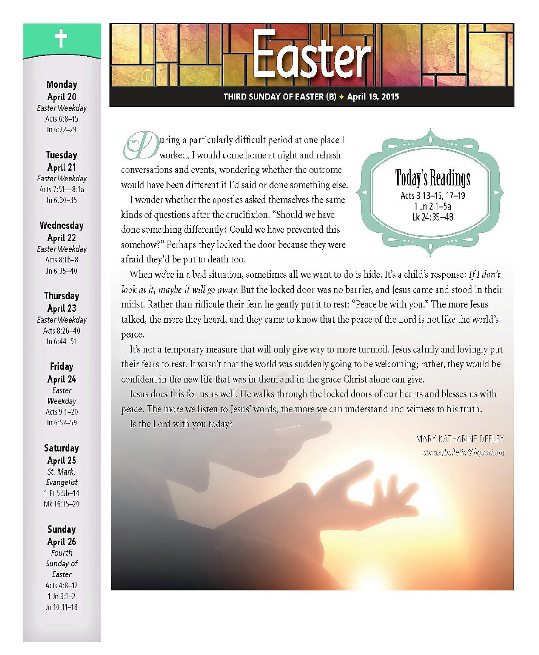Monday April 20 Easter Weekdav Acts 6:8-15  $ln 6.22 - 29$ 

Tuesdav April 21 Easter Weekdav Acts 7:51-8:1a  $ln 6:30-35$ 

Wednesday April 22 Easter Weekdav Acts 8:1b-8 Jn  $6:35-40$ 

#### Thursday April 23 Easter Weekdav Acts 8:26-40 Jn 6:44-51

Friday April 24 Easter Weekday Acts 9:1-20 Jn 6:52-59

# Saturday

April 25 St. Mark, Evangelist 1 Pt 5:5b-14 Mk 16:15-20

Sunday April 26 Fourth Sunday of Easter Acts 4:8-12  $1 \ln 3:1-2$ Jn 10:11-18

#### THIRD SUNDAY OF EASTER (B) + April 19, 2015

uring a particularly difficult period at one place I worked, I would come home at night and rehash conversations and events, wondering whether the outcome would have been different if I'd said or done something else.

I wonder whether the apostles asked themselves the same kinds of questions after the crucifixion. "Should we have done something differently? Could we have prevented this somehow?" Perhaps they locked the door because they were afraid they'd be put to death too.



When we're in a bad situation, sometimes all we want to do is hide. It's a child's response: If I don't look at it, maybe it will go away. But the locked door was no barrier, and Jesus came and stood in their midst. Rather than ridicule their fear, he gently put it to rest: "Peace be with you." The more Jesus talked, the more they heard, and they came to know that the peace of the Lord is not like the world's peace.

It's not a temporary measure that will only give way to more turmoil. Jesus calmly and lovingly put their fears to rest. It wasn't that the world was suddenly going to be welcoming; rather, they would be confident in the new life that was in them and in the grace Christ alone can give.

Jesus does this for us as well. He walks through the locked doors of our hearts and blesses us with peace. The more we listen to Jesus' words, the more we can understand and witness to his truth. Is the Lord with you today?

> MARY KATHARINE DEFLEY sundaybulletin@liquori.org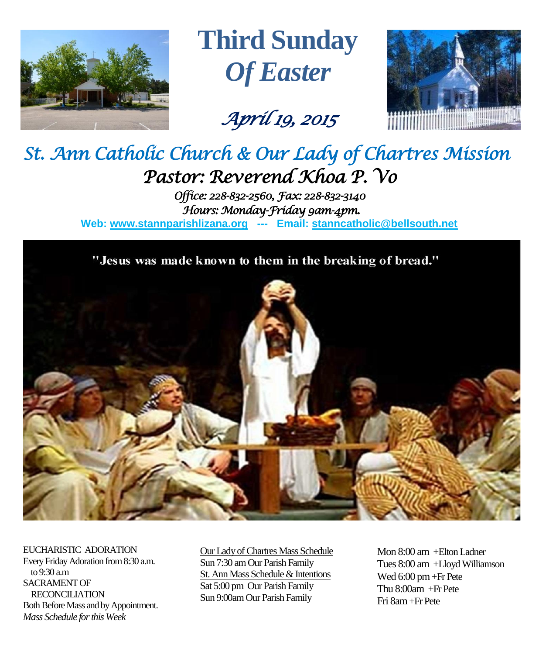

**Third Sunday** *Of Easter*

*April 19, 2015* 



# *St. Ann Catholic Church & Our Lady of Chartres Mission Pastor: Reverend Khoa P. Vo*

*Office: 228-832-2560, Fax: 228-832-3140 Hours: Monday-Friday 9am-4pm.*  **Web: www.stannparishlizana.org --- Email: [stanncatholic@bellsouth.net](mailto:stanncatholic@bellsouth.net)**

"Jesus was made known to them in the breaking of bread."



EUCHARISTIC ADORATION Every Friday Adoration from 8:30 a.m. to 9:30 a.m SACRAMENT OF RECONCILIATION Both Before Mass and by Appointment. *Mass Schedule for this Week* 

Our Lady of Chartres Mass Schedule Sun 7:30 am Our Parish Family St. Ann Mass Schedule & Intentions Sat 5:00 pm Our Parish Family Sun 9:00am Our Parish Family

Mon 8:00 am +Elton Ladner Tues 8:00 am +Lloyd Williamson Wed 6:00 pm +Fr Pete Thu 8:00am +Fr Pete Fri 8am+Fr Pete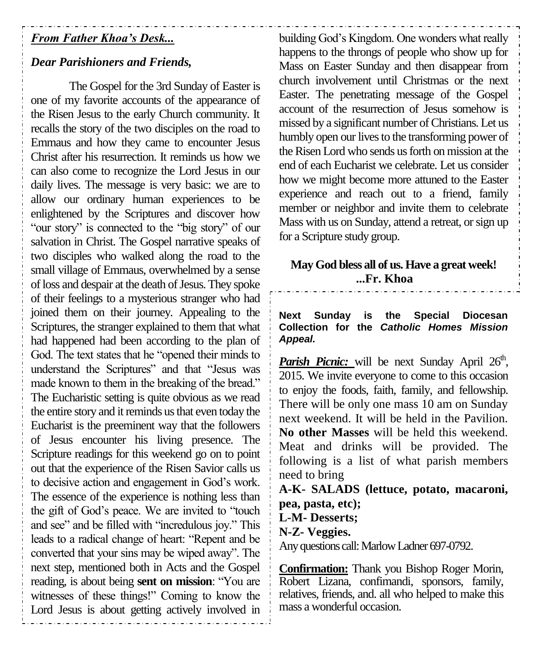# *From Father Khoa's Desk...*

#### *Dear Parishioners and Friends,*

The Gospel for the 3rd Sunday of Easter is one of my favorite accounts of the appearance of the Risen Jesus to the early Church community. It recalls the story of the two disciples on the road to Emmaus and how they came to encounter Jesus Christ after his resurrection. It reminds us how we can also come to recognize the Lord Jesus in our daily lives. The message is very basic: we are to allow our ordinary human experiences to be enlightened by the Scriptures and discover how "our story" is connected to the "big story" of our salvation in Christ. The Gospel narrative speaks of two disciples who walked along the road to the small village of Emmaus, overwhelmed by a sense of loss and despair at the death of Jesus. They spoke of their feelings to a mysterious stranger who had joined them on their journey. Appealing to the Scriptures, the stranger explained to them that what had happened had been according to the plan of God. The text states that he "opened their minds to understand the Scriptures" and that "Jesus was made known to them in the breaking of the bread." The Eucharistic setting is quite obvious as we read the entire story and it reminds us that even today the Eucharist is the preeminent way that the followers of Jesus encounter his living presence. The Scripture readings for this weekend go on to point out that the experience of the Risen Savior calls us to decisive action and engagement in God's work. The essence of the experience is nothing less than the gift of God's peace. We are invited to "touch and see" and be filled with "incredulous joy." This leads to a radical change of heart: "Repent and be converted that your sins may be wiped away". The next step, mentioned both in Acts and the Gospel reading, is about being **sent on mission**: "You are witnesses of these things!" Coming to know the Lord Jesus is about getting actively involved in

building God's Kingdom. One wonders what really happens to the throngs of people who show up for Mass on Easter Sunday and then disappear from church involvement until Christmas or the next Easter. The penetrating message of the Gospel account of the resurrection of Jesus somehow is missed by a significant number of Christians. Let us humbly open our lives to the transforming power of the Risen Lord who sends us forth on mission at the end of each Eucharist we celebrate. Let us consider how we might become more attuned to the Easter experience and reach out to a friend, family member or neighbor and invite them to celebrate Mass with us on Sunday, attend a retreat, or sign up for a Scripture study group.

## **May God bless all of us. Have a great week! ...Fr. Khoa**

**Next Sunday is the Special Diocesan Collection for the** *Catholic Homes Mission Appeal.*

Parish Picnic: will be next Sunday April 26<sup>th</sup>, 2015. We invite everyone to come to this occasion to enjoy the foods, faith, family, and fellowship. There will be only one mass 10 am on Sunday next weekend. It will be held in the Pavilion. **No other Masses** will be held this weekend. Meat and drinks will be provided. The following is a list of what parish members need to bring

**A-K- SALADS (lettuce, potato, macaroni, pea, pasta, etc); L-M- Desserts; N-Z- Veggies.**  Any questions call: Marlow Ladner 697-0792.

**Confirmation:** Thank you Bishop Roger Morin, Robert Lizana, confimandi, sponsors, family, relatives, friends, and. all who helped to make this mass a wonderful occasion.